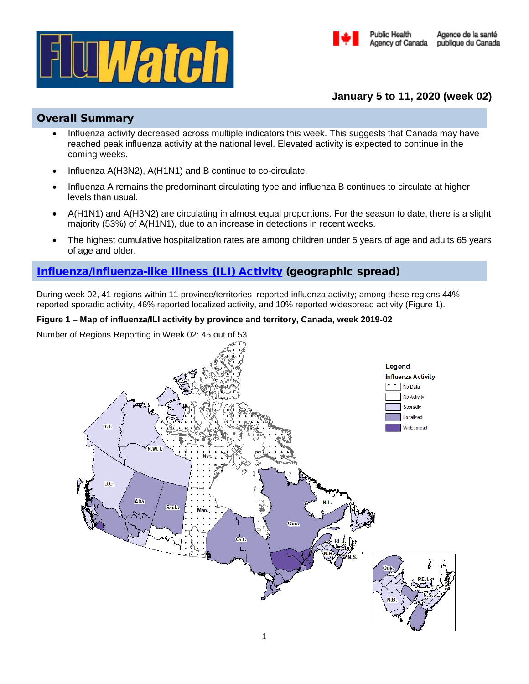



# **January 5 to 11, 2020 (week 02)**

## Overall Summary

- Influenza activity decreased across multiple indicators this week. This suggests that Canada may have reached peak influenza activity at the national level. Elevated activity is expected to continue in the coming weeks.
- Influenza A(H3N2), A(H1N1) and B continue to co-circulate.
- Influenza A remains the predominant circulating type and influenza B continues to circulate at higher levels than usual.
- A(H1N1) and A(H3N2) are circulating in almost equal proportions. For the season to date, there is a slight majority (53%) of A(H1N1), due to an increase in detections in recent weeks.
- The highest cumulative hospitalization rates are among children under 5 years of age and adults 65 years of age and older.

# [Influenza/Influenza-like Illness \(ILI\) Activity](https://www.canada.ca/en/public-health/services/diseases/flu-influenza/influenza-surveillance/about-fluwatch.html#a2) (geographic spread)

During week 02, 41 regions within 11 province/territories reported influenza activity; among these regions 44% reported sporadic activity, 46% reported localized activity, and 10% reported widespread activity (Figure 1).

## **Figure 1 – Map of influenza/ILI activity by province and territory, Canada, week 2019-02**

Number of Regions Reporting in Week 02: 45 out of 53

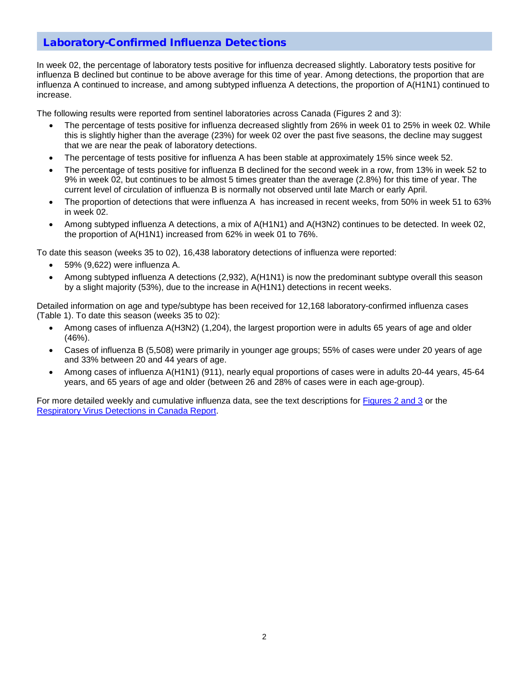## [Laboratory-Confirmed Influenza Detections](https://www.canada.ca/en/public-health/services/diseases/flu-influenza/influenza-surveillance/about-fluwatch.html#a3)

In week 02, the percentage of laboratory tests positive for influenza decreased slightly. Laboratory tests positive for influenza B declined but continue to be above average for this time of year. Among detections, the proportion that are influenza A continued to increase, and among subtyped influenza A detections, the proportion of A(H1N1) continued to increase.

The following results were reported from sentinel laboratories across Canada (Figures 2 and 3):

- The percentage of tests positive for influenza decreased slightly from 26% in week 01 to 25% in week 02. While this is slightly higher than the average (23%) for week 02 over the past five seasons, the decline may suggest that we are near the peak of laboratory detections.
- The percentage of tests positive for influenza A has been stable at approximately 15% since week 52.
- The percentage of tests positive for influenza B declined for the second week in a row, from 13% in week 52 to 9% in week 02, but continues to be almost 5 times greater than the average (2.8%) for this time of year. The current level of circulation of influenza B is normally not observed until late March or early April.
- The proportion of detections that were influenza A has increased in recent weeks, from 50% in week 51 to 63% in week 02.
- Among subtyped influenza A detections, a mix of A(H1N1) and A(H3N2) continues to be detected. In week 02, the proportion of A(H1N1) increased from 62% in week 01 to 76%.

To date this season (weeks 35 to 02), 16,438 laboratory detections of influenza were reported:

- 59% (9,622) were influenza A.
- Among subtyped influenza A detections (2,932), A(H1N1) is now the predominant subtype overall this season by a slight majority (53%), due to the increase in A(H1N1) detections in recent weeks.

Detailed information on age and type/subtype has been received for 12,168 laboratory-confirmed influenza cases (Table 1). To date this season (weeks 35 to 02):

- Among cases of influenza A(H3N2) (1,204), the largest proportion were in adults 65 years of age and older (46%).
- Cases of influenza B (5,508) were primarily in younger age groups; 55% of cases were under 20 years of age and 33% between 20 and 44 years of age.
- Among cases of influenza A(H1N1) (911), nearly equal proportions of cases were in adults 20-44 years, 45-64 years, and 65 years of age and older (between 26 and 28% of cases were in each age-group).

For more detailed weekly and cumulative influenza data, see the text descriptions for [Figures 2 and 3](https://www.canada.ca/en/public-health/services/diseases/flu-influenza/influenza-surveillance/weekly-influenza-reports.html) or the [Respiratory Virus Detections in Canada Report.](https://www.canada.ca/en/public-health/services/surveillance/respiratory-virus-detections-canada.html)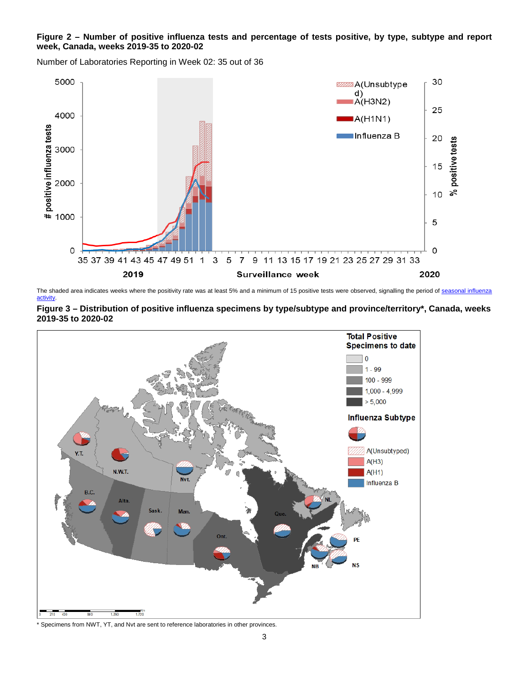#### **Figure 2 – Number of positive influenza tests and percentage of tests positive, by type, subtype and report week, Canada, weeks 2019-35 to 2020-02**

Number of Laboratories Reporting in Week 02: 35 out of 36



The shaded area indicates weeks where the positivity rate was at least 5% and a minimum of 15 positive tests were observed, signalling the period of seasonal influenza [activity.](https://journals.plos.org/plosone/article?id=10.1371/journal.pone.0141776)





Specimens from NWT, YT, and Nvt are sent to reference laboratories in other provinces.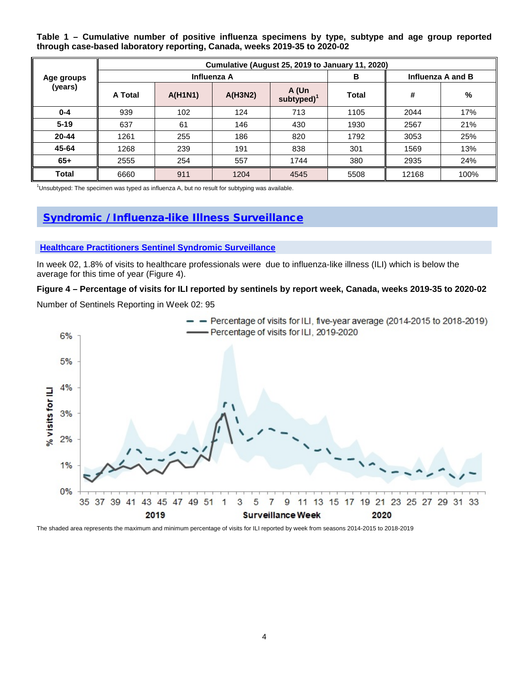**Table 1 – Cumulative number of positive influenza specimens by type, subtype and age group reported through case-based laboratory reporting, Canada, weeks 2019-35 to 2020-02**

| Age groups<br>(years) | Cumulative (August 25, 2019 to January 11, 2020) |                |         |                         |              |                   |      |
|-----------------------|--------------------------------------------------|----------------|---------|-------------------------|--------------|-------------------|------|
|                       | Influenza A                                      |                |         |                         | в            | Influenza A and B |      |
|                       | A Total                                          | <b>A(H1N1)</b> | A(H3N2) | A (Un<br>subtyped $)^1$ | <b>Total</b> | #                 | %    |
| $0 - 4$               | 939                                              | 102            | 124     | 713                     | 1105         | 2044              | 17%  |
| $5 - 19$              | 637                                              | 61             | 146     | 430                     | 1930         | 2567              | 21%  |
| 20-44                 | 1261                                             | 255            | 186     | 820                     | 1792         | 3053              | 25%  |
| 45-64                 | 1268                                             | 239            | 191     | 838                     | 301          | 1569              | 13%  |
| $65+$                 | 2555                                             | 254            | 557     | 1744                    | 380          | 2935              | 24%  |
| Total                 | 6660                                             | 911            | 1204    | 4545                    | 5508         | 12168             | 100% |

 $1$ Unsubtyped: The specimen was typed as influenza A, but no result for subtyping was available.

## [Syndromic / Influenza-like Illness Surveillance](https://www.canada.ca/en/public-health/services/diseases/flu-influenza/influenza-surveillance/about-fluwatch.html#a4)

#### **[Healthcare Practitioners Sentinel Syndromic Surveillance](https://www.canada.ca/en/public-health/services/diseases/flu-influenza/influenza-surveillance/influenza-sentinel-recruiters.html)**

In week 02, 1.8% of visits to healthcare professionals were due to influenza-like illness (ILI) which is below the average for this time of year (Figure 4).

#### **Figure 4 – Percentage of visits for ILI reported by sentinels by report week, Canada, weeks 2019-35 to 2020-02**

Number of Sentinels Reporting in Week 02: 95



The shaded area represents the maximum and minimum percentage of visits for ILI reported by week from seasons 2014-2015 to 2018-2019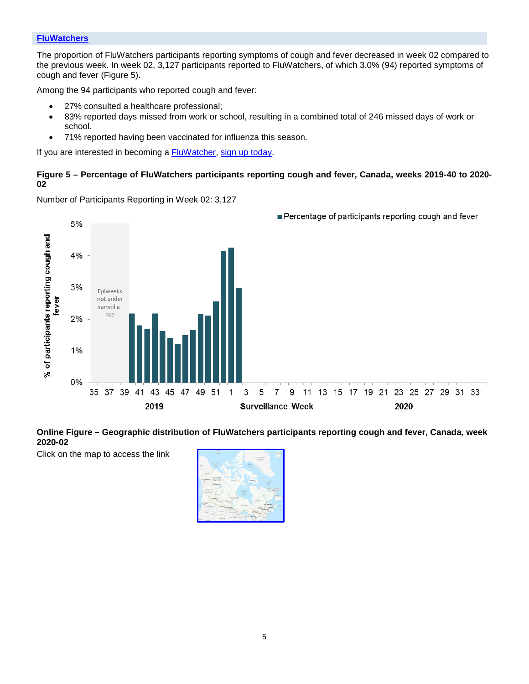### **[FluWatchers](https://www.canada.ca/en/public-health/services/diseases/flu-influenza/fluwatcher.html)**

The proportion of FluWatchers participants reporting symptoms of cough and fever decreased in week 02 compared to the previous week. In week 02, 3,127 participants reported to FluWatchers, of which 3.0% (94) reported symptoms of cough and fever (Figure 5).

Among the 94 participants who reported cough and fever:

- 27% consulted a healthcare professional;
- 83% reported days missed from work or school, resulting in a combined total of 246 missed days of work or school.
- 71% reported having been vaccinated for influenza this season.

If you are interested in becoming a **FluWatcher**, [sign up today.](https://cnphi.canada.ca/fluWatcher/register)

#### **Figure 5 – Percentage of FluWatchers participants reporting cough and fever, Canada, weeks 2019-40 to 2020- 02**

Number of Participants Reporting in Week 02: 3,127



#### **Online Figure – Geographic distribution of FluWatchers participants reporting cough and fever, Canada, week 2020-02**

Click on the map to access the link



Percentage of participants reporting cough and fever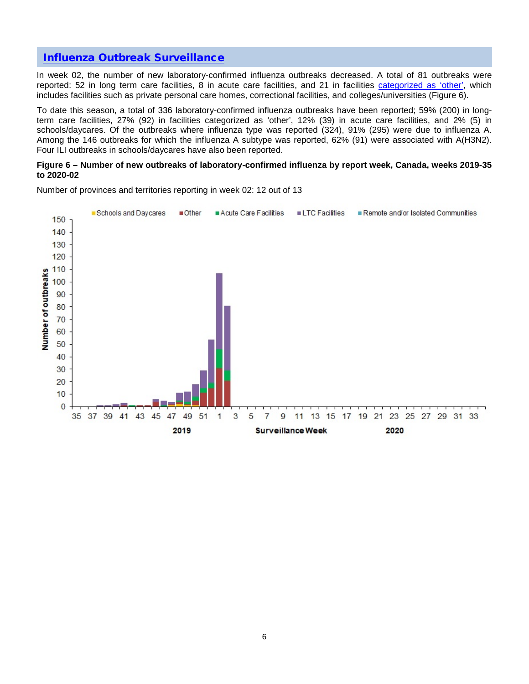## [Influenza Outbreak Surveillance](https://www.canada.ca/en/public-health/services/diseases/flu-influenza/influenza-surveillance/about-fluwatch.html#a5)

In week 02, the number of new laboratory-confirmed influenza outbreaks decreased. A total of 81 outbreaks were reported: 52 in long term care facilities, 8 in acute care facilities, and 21 in facilities [categorized as 'other',](https://www.canada.ca/en/public-health/services/diseases/flu-influenza/influenza-surveillance/about-fluwatch.html#a2.4) which includes facilities such as private personal care homes, correctional facilities, and colleges/universities (Figure 6).

To date this season, a total of 336 laboratory-confirmed influenza outbreaks have been reported; 59% (200) in longterm care facilities, 27% (92) in facilities categorized as 'other', 12% (39) in acute care facilities, and 2% (5) in schools/daycares. Of the outbreaks where influenza type was reported (324), 91% (295) were due to influenza A. Among the 146 outbreaks for which the influenza A subtype was reported, 62% (91) were associated with A(H3N2). Four ILI outbreaks in schools/daycares have also been reported.

#### **Figure 6 – Number of new outbreaks of laboratory-confirmed influenza by report week, Canada, weeks 2019-35 to 2020-02**



Number of provinces and territories reporting in week 02: 12 out of 13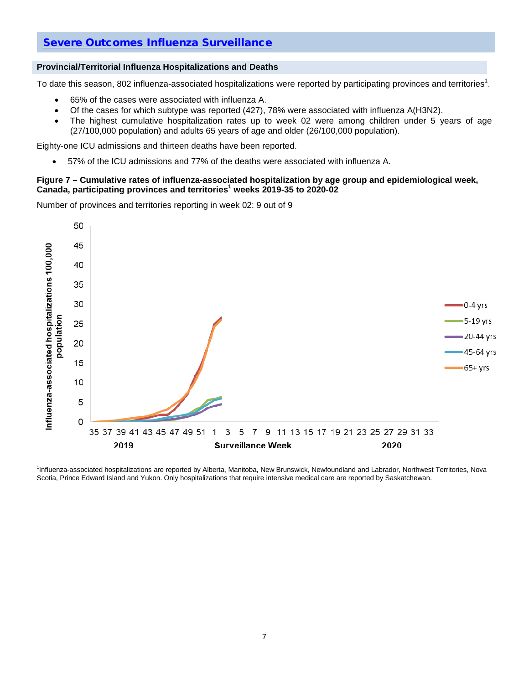## [Severe Outcomes Influenza Surveillance](https://www.canada.ca/en/public-health/services/diseases/flu-influenza/influenza-surveillance/about-fluwatch.html#a6)

#### **Provincial/Territorial Influenza Hospitalizations and Deaths**

To date this season, 802 influenza-associated hospitalizations were reported by participating provinces and territories $^1$ .

- 65% of the cases were associated with influenza A.
- Of the cases for which subtype was reported (427), 78% were associated with influenza A(H3N2).
- The highest cumulative hospitalization rates up to week 02 were among children under 5 years of age (27/100,000 population) and adults 65 years of age and older (26/100,000 population).

Eighty-one ICU admissions and thirteen deaths have been reported.

• 57% of the ICU admissions and 77% of the deaths were associated with influenza A.

#### **Figure 7 – Cumulative rates of influenza-associated hospitalization by age group and epidemiological week, Canada, participating provinces and territories<sup>1</sup> weeks 2019-35 to 2020-02**

Number of provinces and territories reporting in week 02: 9 out of 9



1 Influenza-associated hospitalizations are reported by Alberta, Manitoba, New Brunswick, Newfoundland and Labrador, Northwest Territories, Nova Scotia, Prince Edward Island and Yukon. Only hospitalizations that require intensive medical care are reported by Saskatchewan.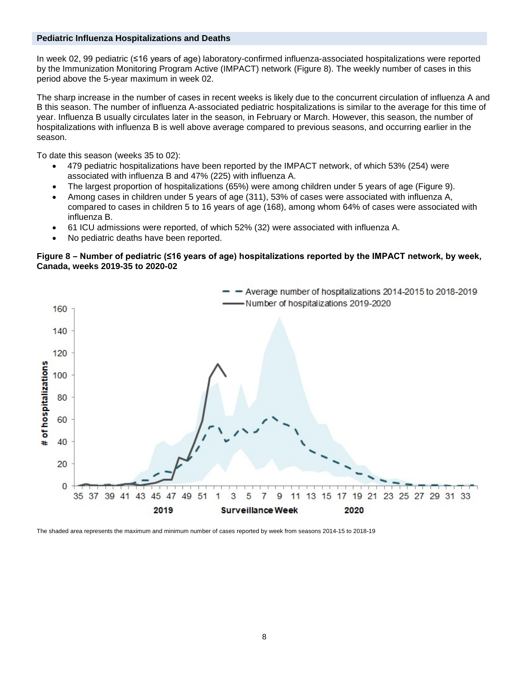#### **Pediatric Influenza Hospitalizations and Deaths**

In week 02, 99 pediatric (≤16 years of age) laboratory-confirmed influenza-associated hospitalizations were reported by the Immunization Monitoring Program Active (IMPACT) network (Figure 8). The weekly number of cases in this period above the 5-year maximum in week 02.

The sharp increase in the number of cases in recent weeks is likely due to the concurrent circulation of influenza A and B this season. The number of influenza A-associated pediatric hospitalizations is similar to the average for this time of year. Influenza B usually circulates later in the season, in February or March. However, this season, the number of hospitalizations with influenza B is well above average compared to previous seasons, and occurring earlier in the season.

To date this season (weeks 35 to 02):

- 479 pediatric hospitalizations have been reported by the IMPACT network, of which 53% (254) were associated with influenza B and 47% (225) with influenza A.
- The largest proportion of hospitalizations (65%) were among children under 5 years of age (Figure 9).
- Among cases in children under 5 years of age (311), 53% of cases were associated with influenza A, compared to cases in children 5 to 16 years of age (168), among whom 64% of cases were associated with influenza B.
- 61 ICU admissions were reported, of which 52% (32) were associated with influenza A.
- No pediatric deaths have been reported.

#### **Figure 8 – Number of pediatric (≤16 years of age) hospitalizations reported by the IMPACT network, by week, Canada, weeks 2019-35 to 2020-02**



The shaded area represents the maximum and minimum number of cases reported by week from seasons 2014-15 to 2018-19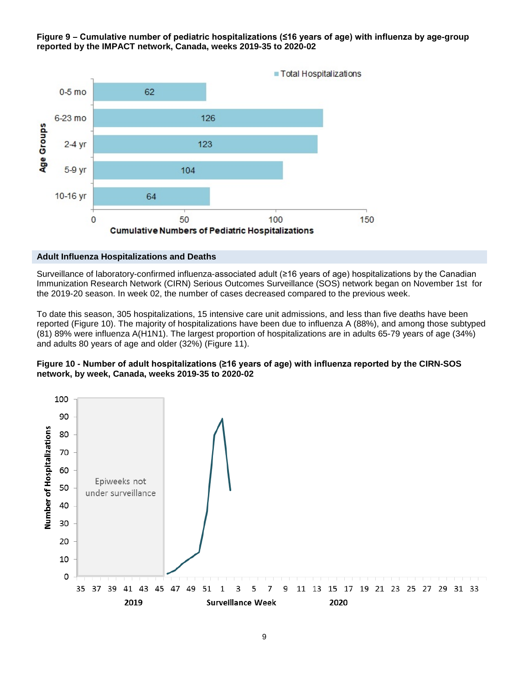#### **Figure 9 – Cumulative number of pediatric hospitalizations (≤16 years of age) with influenza by age-group reported by the IMPACT network, Canada, weeks 2019-35 to 2020-02**



#### **Adult Influenza Hospitalizations and Deaths**

Surveillance of laboratory-confirmed influenza-associated adult (≥16 years of age) hospitalizations by the Canadian Immunization Research Network (CIRN) Serious Outcomes Surveillance (SOS) network began on November 1st for the 2019-20 season. In week 02, the number of cases decreased compared to the previous week.

To date this season, 305 hospitalizations, 15 intensive care unit admissions, and less than five deaths have been reported (Figure 10). The majority of hospitalizations have been due to influenza A (88%), and among those subtyped (81) 89% were influenza A(H1N1). The largest proportion of hospitalizations are in adults 65-79 years of age (34%) and adults 80 years of age and older (32%) (Figure 11).



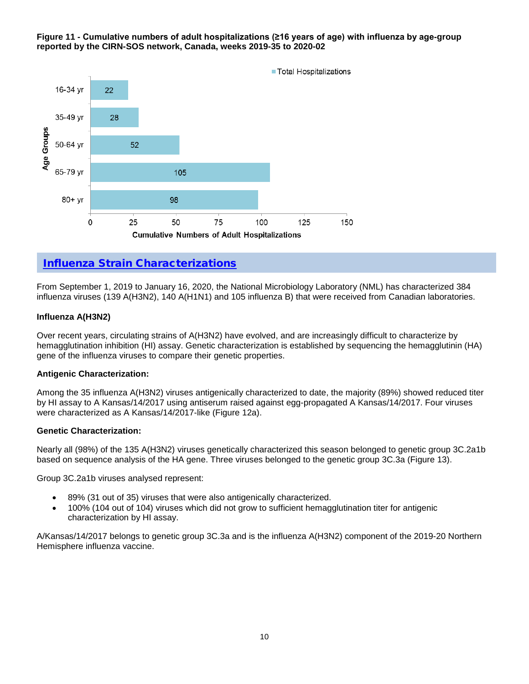#### **Figure 11 - Cumulative numbers of adult hospitalizations (≥16 years of age) with influenza by age-group reported by the CIRN-SOS network, Canada, weeks 2019-35 to 2020-02**



# [Influenza Strain Characterizations](https://www.canada.ca/en/public-health/services/diseases/flu-influenza/influenza-surveillance/about-fluwatch.html#a7)

From September 1, 2019 to January 16, 2020, the National Microbiology Laboratory (NML) has characterized 384 influenza viruses (139 A(H3N2), 140 A(H1N1) and 105 influenza B) that were received from Canadian laboratories.

#### **Influenza A(H3N2)**

Over recent years, circulating strains of A(H3N2) have evolved, and are increasingly difficult to characterize by hemagglutination inhibition (HI) assay. Genetic characterization is established by sequencing the hemagglutinin (HA) gene of the influenza viruses to compare their genetic properties.

#### **Antigenic Characterization:**

Among the 35 influenza A(H3N2) viruses antigenically characterized to date, the majority (89%) showed reduced titer by HI assay to A Kansas/14/2017 using antiserum raised against egg-propagated A Kansas/14/2017. Four viruses were characterized as A Kansas/14/2017-like (Figure 12a).

#### **Genetic Characterization:**

Nearly all (98%) of the 135 A(H3N2) viruses genetically characterized this season belonged to genetic group 3C.2a1b based on sequence analysis of the HA gene. Three viruses belonged to the genetic group 3C.3a (Figure 13).

Group 3C.2a1b viruses analysed represent:

- 89% (31 out of 35) viruses that were also antigenically characterized.
- 100% (104 out of 104) viruses which did not grow to sufficient hemagglutination titer for antigenic characterization by HI assay.

A/Kansas/14/2017 belongs to genetic group 3C.3a and is the influenza A(H3N2) component of the 2019-20 Northern Hemisphere influenza vaccine.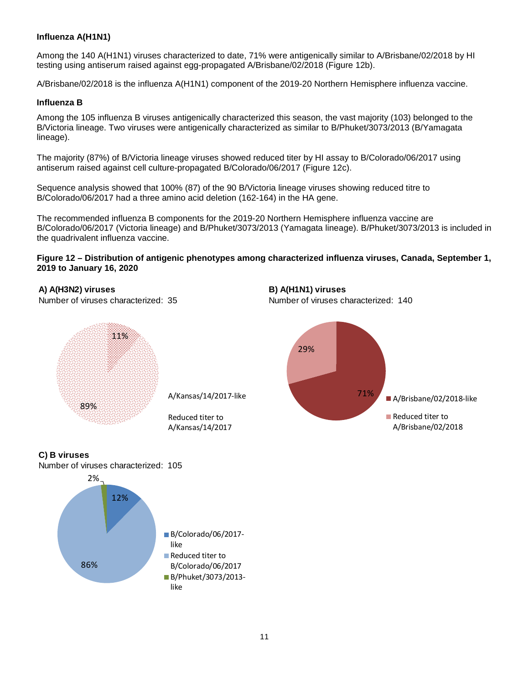### **Influenza A(H1N1)**

Among the 140 A(H1N1) viruses characterized to date, 71% were antigenically similar to A/Brisbane/02/2018 by HI testing using antiserum raised against egg-propagated A/Brisbane/02/2018 (Figure 12b).

A/Brisbane/02/2018 is the influenza A(H1N1) component of the 2019-20 Northern Hemisphere influenza vaccine.

#### **Influenza B**

Among the 105 influenza B viruses antigenically characterized this season, the vast majority (103) belonged to the B/Victoria lineage. Two viruses were antigenically characterized as similar to B/Phuket/3073/2013 (B/Yamagata lineage).

The majority (87%) of B/Victoria lineage viruses showed reduced titer by HI assay to B/Colorado/06/2017 using antiserum raised against cell culture-propagated B/Colorado/06/2017 (Figure 12c).

Sequence analysis showed that 100% (87) of the 90 B/Victoria lineage viruses showing reduced titre to B/Colorado/06/2017 had a three amino acid deletion (162-164) in the HA gene.

The recommended influenza B components for the 2019-20 Northern Hemisphere influenza vaccine are B/Colorado/06/2017 (Victoria lineage) and B/Phuket/3073/2013 (Yamagata lineage). B/Phuket/3073/2013 is included in the quadrivalent influenza vaccine.

**Figure 12 – Distribution of antigenic phenotypes among characterized influenza viruses, Canada, September 1, 2019 to January 16, 2020**

**A) A(H3N2) viruses B) A(H1N1) viruses**

Number of viruses characterized: 35 Number of viruses characterized: 140

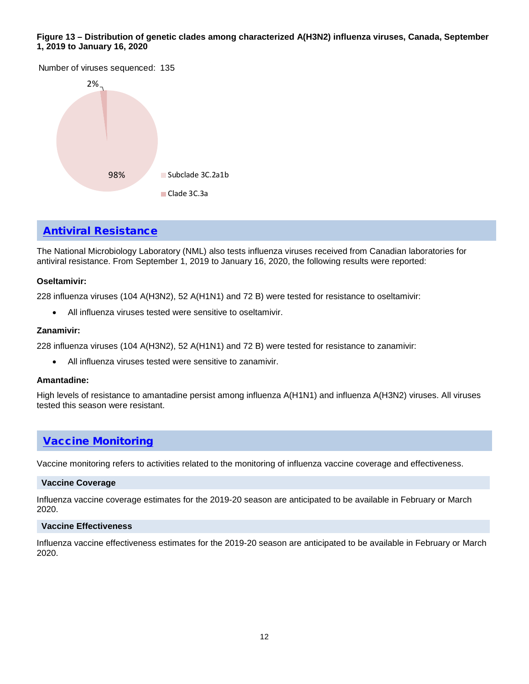#### **Figure 13 – Distribution of genetic clades among characterized A(H3N2) influenza viruses, Canada, September 1, 2019 to January 16, 2020**

Number of viruses sequenced: 135



## [Antiviral Resistance](https://www.canada.ca/en/public-health/services/diseases/flu-influenza/influenza-surveillance/about-fluwatch.html#a7)

The National Microbiology Laboratory (NML) also tests influenza viruses received from Canadian laboratories for antiviral resistance. From September 1, 2019 to January 16, 2020, the following results were reported:

#### **Oseltamivir:**

228 influenza viruses (104 A(H3N2), 52 A(H1N1) and 72 B) were tested for resistance to oseltamivir:

• All influenza viruses tested were sensitive to oseltamivir.

#### **Zanamivir:**

228 influenza viruses (104 A(H3N2), 52 A(H1N1) and 72 B) were tested for resistance to zanamivir:

• All influenza viruses tested were sensitive to zanamivir.

#### **Amantadine:**

High levels of resistance to amantadine persist among influenza A(H1N1) and influenza A(H3N2) viruses. All viruses tested this season were resistant.

## [Vaccine Monitoring](https://www.canada.ca/en/public-health/services/diseases/flu-influenza/influenza-surveillance/about-fluwatch.html#a8)

Vaccine monitoring refers to activities related to the monitoring of influenza vaccine coverage and effectiveness.

#### **Vaccine Coverage**

Influenza vaccine coverage estimates for the 2019-20 season are anticipated to be available in February or March 2020.

#### **Vaccine Effectiveness**

Influenza vaccine effectiveness estimates for the 2019-20 season are anticipated to be available in February or March 2020.